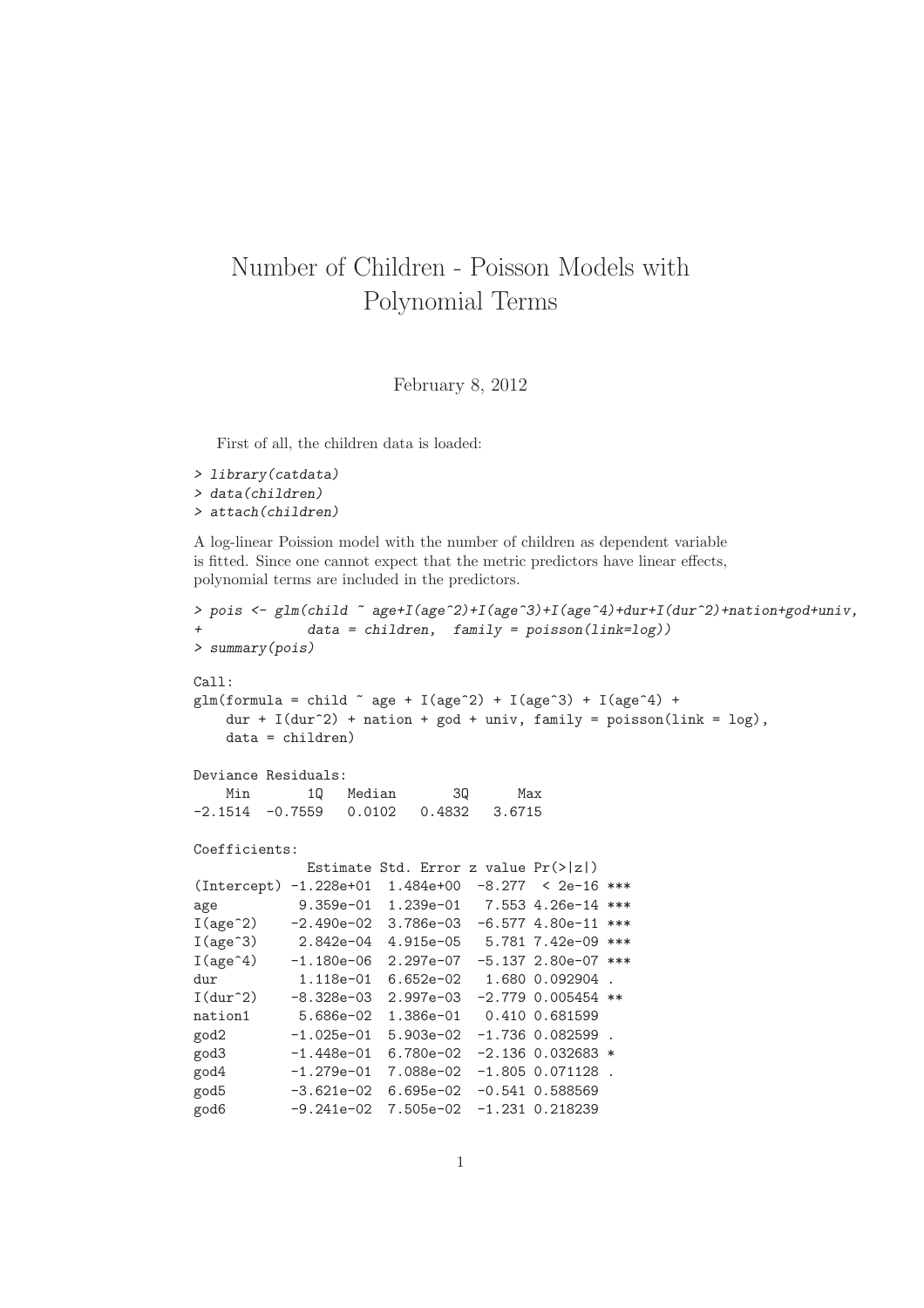## Number of Children - Poisson Models with Polynomial Terms

February 8, 2012

First of all, the children data is loaded:

```
> library(catdata)
> data(children)
> attach(children)
```
A log-linear Poission model with the number of children as dependent variable is fitted. Since one cannot expect that the metric predictors have linear effects, polynomial terms are included in the predictors.

```
> pois <- glm(child ~ age+I(age^2)+I(age^3)+I(age^4)+dur+I(dur^2)+nation+god+univ,
+ data = children, family = poisson(link=log))
> summary(pois)
Call:
glm(formula = child \tilde{a} age + I(age^2) + I(age^3) + I(age^4) +
   dur + I(dur<sup>2</sup>) + nation + god + univ, family = poisson(link = log),data = children)
Deviance Residuals:
   Min 1Q Median 3Q Max
-2.1514 -0.7559 0.0102 0.4832 3.6715
Coefficients:
            Estimate Std. Error z value Pr(>|z|)
(Intercept) -1.228e+01 1.484e+00 -8.277 < 2e-16 ***
age 9.359e-01 1.239e-01 7.553 4.26e-14 ***
I(age^2) -2.490e-02 3.786e-03 -6.577 4.80e-11 ***
I(age^3) 2.842e-04 4.915e-05 5.781 7.42e-09 ***
I(age^4) -1.180e-06 2.297e-07 -5.137 2.80e-07 ***
dur 1.118e-01 6.652e-02 1.680 0.092904.
I(dur^2) -8.328e-03 2.997e-03 -2.779 0.005454 **
nation1 5.686e-02 1.386e-01 0.410 0.681599
god2 -1.025e-01 5.903e-02 -1.736 0.082599 .
god3 -1.448e-01 6.780e-02 -2.136 0.032683 *
\frac{6}{1.279e-01} 7.088e-02 -1.805 0.071128.
god5 -3.621e-02 6.695e-02 -0.541 0.588569
god6 -9.241e-02 7.505e-02 -1.231 0.218239
```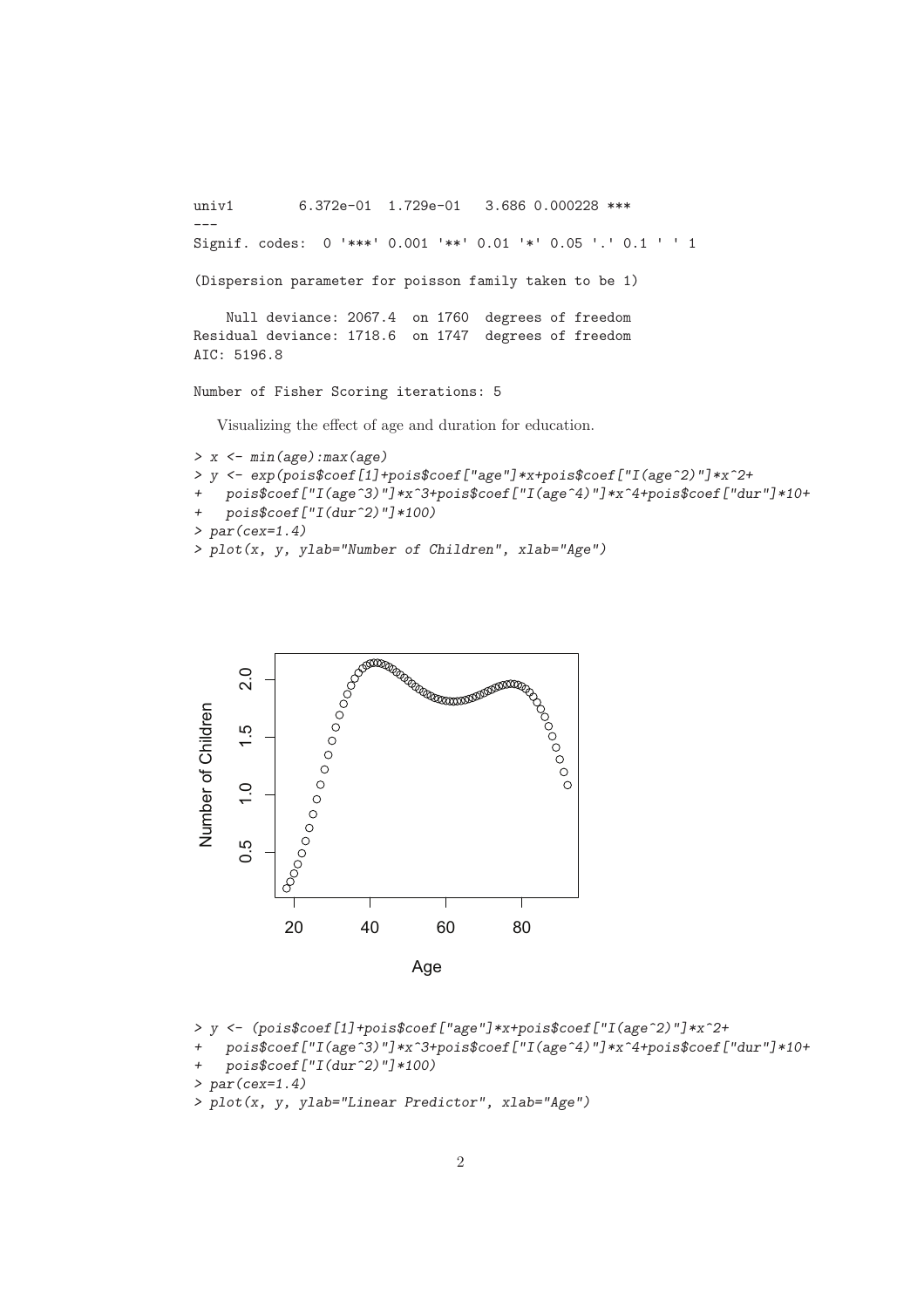```
univ1 6.372e-01 1.729e-01 3.686 0.000228 ***
---
Signif. codes: 0 '***' 0.001 '**' 0.01 '*' 0.05 '.' 0.1 ' ' 1
(Dispersion parameter for poisson family taken to be 1)
    Null deviance: 2067.4 on 1760 degrees of freedom
Residual deviance: 1718.6 on 1747 degrees of freedom
AIC: 5196.8
Number of Fisher Scoring iterations: 5
   Visualizing the effect of age and duration for education.
```

```
> x <- min(age):max(age)
> y <- exp(pois$coef[1]+pois$coef["age"]*x+pois$coef["I(age^2)"]*x^2+
   + pois$coef["I(age^3)"]*x^3+pois$coef["I(age^4)"]*x^4+pois$coef["dur"]*10+
+ pois$coef["I(dur^2)"]*100)
> par(cex=1.4)
> plot(x, y, ylab="Number of Children", xlab="Age")
```


```
> y <- (pois$coef[1]+pois$coef["age"]*x+pois$coef["I(age^2)"]*x^2+
```

```
+ pois$coef["I(age^3)"]*x^3+pois$coef["I(age^4)"]*x^4+pois$coef["dur"]*10+
```

```
+ pois$coef["I(dur^2)"]*100)
```

```
> par(cex=1.4)
```
*> plot(x, y, ylab="Linear Predictor", xlab="Age")*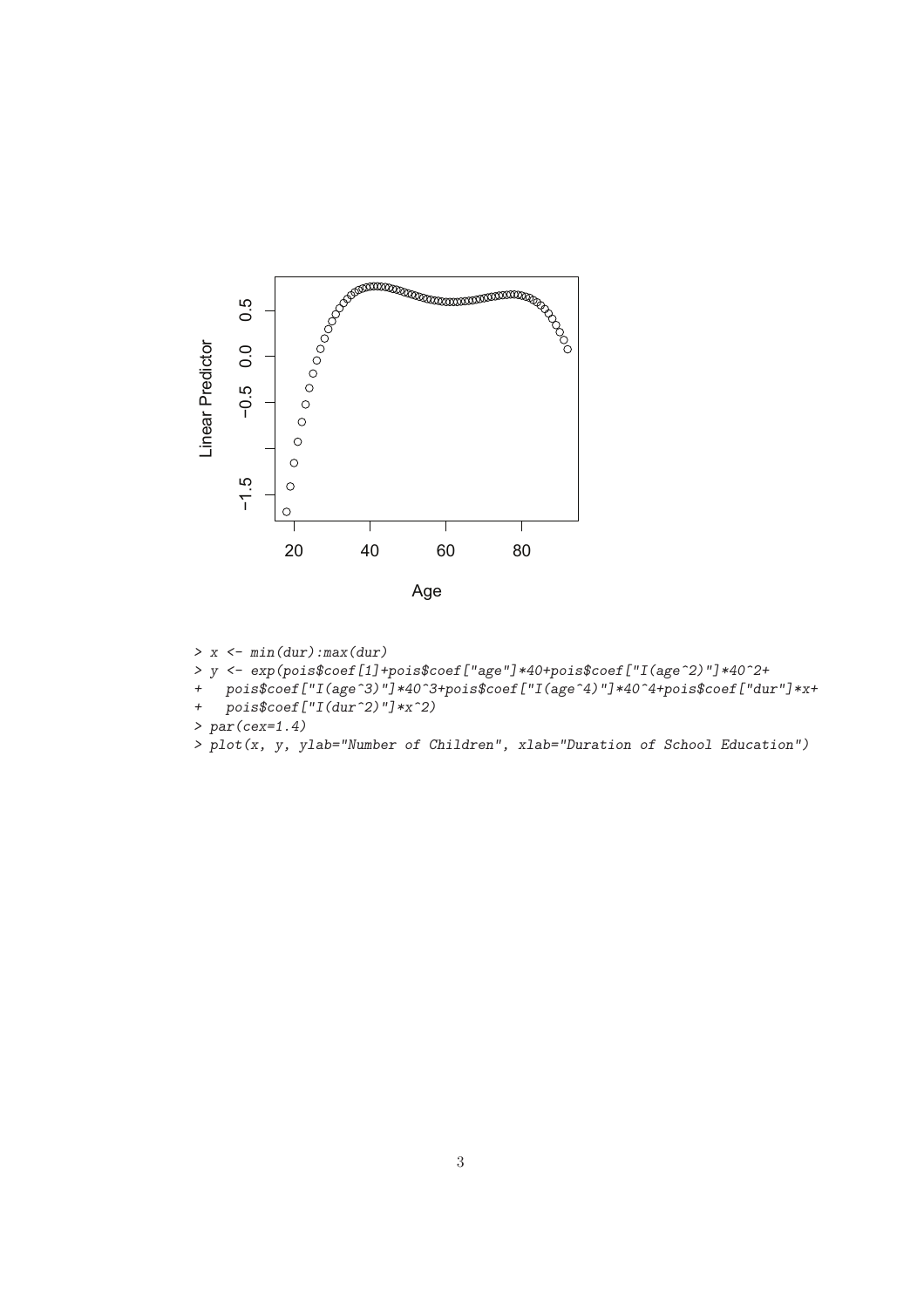

- *> x <- min(dur):max(dur)*
- *> y <- exp(pois\$coef[1]+pois\$coef["age"]\*40+pois\$coef["I(age^2)"]\*40^2+*
- *+ pois\$coef["I(age^3)"]\*40^3+pois\$coef["I(age^4)"]\*40^4+pois\$coef["dur"]\*x+*
- *+ pois\$coef["I(dur^2)"]\*x^2)*
- *> par(cex=1.4)*
- *> plot(x, y, ylab="Number of Children", xlab="Duration of School Education")*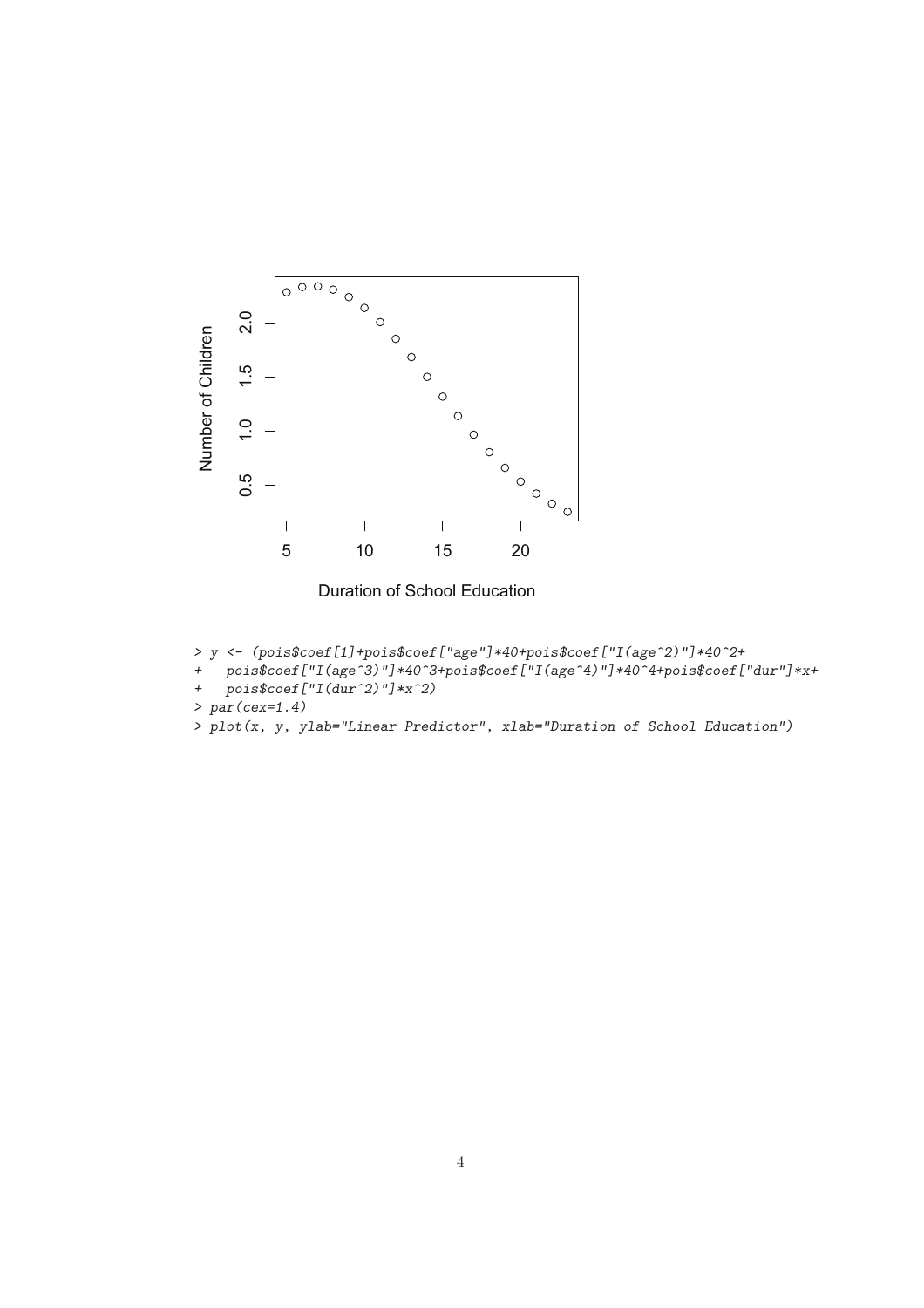

Duration of School Education

- *> y <- (pois\$coef[1]+pois\$coef["age"]\*40+pois\$coef["I(age^2)"]\*40^2+*
- *+ pois\$coef["I(age^3)"]\*40^3+pois\$coef["I(age^4)"]\*40^4+pois\$coef["dur"]\*x+*
- *+ pois\$coef["I(dur^2)"]\*x^2)*
- *> par(cex=1.4)*
- *> plot(x, y, ylab="Linear Predictor", xlab="Duration of School Education")*